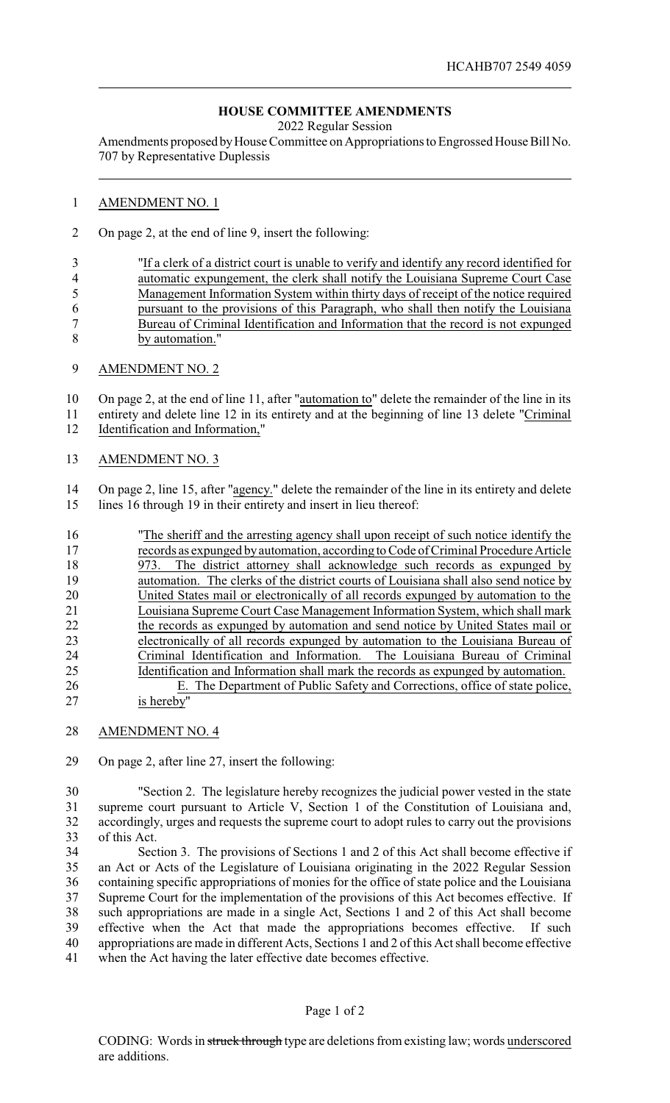## **HOUSE COMMITTEE AMENDMENTS**

2022 Regular Session

Amendments proposed byHouse Committee on Appropriations to Engrossed House Bill No. 707 by Representative Duplessis

## AMENDMENT NO. 1

On page 2, at the end of line 9, insert the following:

 "If a clerk of a district court is unable to verify and identify any record identified for automatic expungement, the clerk shall notify the Louisiana Supreme Court Case Management Information System within thirty days of receipt of the notice required pursuant to the provisions of this Paragraph, who shall then notify the Louisiana Bureau of Criminal Identification and Information that the record is not expunged by automation."

## AMENDMENT NO. 2

10 On page 2, at the end of line 11, after "automation to" delete the remainder of the line in its entirety and delete line 12 in its entirety and at the beginning of line 13 delete "Criminal Identification and Information,"

AMENDMENT NO. 3

 On page 2, line 15, after "agency." delete the remainder of the line in its entirety and delete lines 16 through 19 in their entirety and insert in lieu thereof:

| "The sheriff and the arresting agency shall upon receipt of such notice identify the |
|--------------------------------------------------------------------------------------|
| records as expunged by automation, according to Code of Criminal Procedure Article   |
| The district attorney shall acknowledge such records as expunged by<br>973.          |
| automation. The clerks of the district courts of Louisiana shall also send notice by |
| United States mail or electronically of all records expunged by automation to the    |
| Louisiana Supreme Court Case Management Information System, which shall mark         |
| the records as expunged by automation and send notice by United States mail or       |
| electronically of all records expunged by automation to the Louisiana Bureau of      |
| Criminal Identification and Information. The Louisiana Bureau of Criminal            |
| Identification and Information shall mark the records as expunged by automation.     |
| E. The Department of Public Safety and Corrections, office of state police,          |
| is hereby"                                                                           |
|                                                                                      |

AMENDMENT NO. 4

On page 2, after line 27, insert the following:

 "Section 2. The legislature hereby recognizes the judicial power vested in the state 31 supreme court pursuant to Article V, Section 1 of the Constitution of Louisiana and,<br>32 accordingly, urges and requests the supreme court to adopt rules to carry out the provisions accordingly, urges and requests the supreme court to adopt rules to carry out the provisions of this Act.

 Section 3. The provisions of Sections 1 and 2 of this Act shall become effective if an Act or Acts of the Legislature of Louisiana originating in the 2022 Regular Session containing specific appropriations of monies for the office of state police and the Louisiana Supreme Court for the implementation of the provisions of this Act becomes effective. If such appropriations are made in a single Act, Sections 1 and 2 of this Act shall become effective when the Act that made the appropriations becomes effective. If such appropriations are made in different Acts, Sections 1 and 2 of this Act shall become effective when the Act having the later effective date becomes effective.